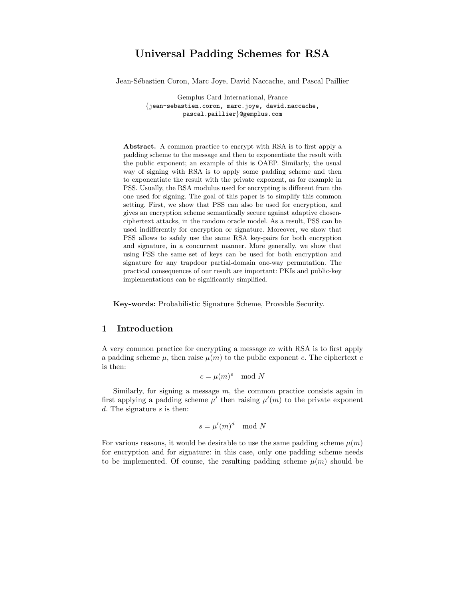# Universal Padding Schemes for RSA

Jean-Sébastien Coron, Marc Joye, David Naccache, and Pascal Paillier

Gemplus Card International, France {jean-sebastien.coron, marc.joye, david.naccache, pascal.paillier}@gemplus.com

Abstract. A common practice to encrypt with RSA is to first apply a padding scheme to the message and then to exponentiate the result with the public exponent; an example of this is OAEP. Similarly, the usual way of signing with RSA is to apply some padding scheme and then to exponentiate the result with the private exponent, as for example in PSS. Usually, the RSA modulus used for encrypting is different from the one used for signing. The goal of this paper is to simplify this common setting. First, we show that PSS can also be used for encryption, and gives an encryption scheme semantically secure against adaptive chosenciphertext attacks, in the random oracle model. As a result, PSS can be used indifferently for encryption or signature. Moreover, we show that PSS allows to safely use the same RSA key-pairs for both encryption and signature, in a concurrent manner. More generally, we show that using PSS the same set of keys can be used for both encryption and signature for any trapdoor partial-domain one-way permutation. The practical consequences of our result are important: PKIs and public-key implementations can be significantly simplified.

Key-words: Probabilistic Signature Scheme, Provable Security.

# 1 Introduction

A very common practice for encrypting a message  $m$  with RSA is to first apply a padding scheme  $\mu$ , then raise  $\mu(m)$  to the public exponent e. The ciphertext c is then:

$$
c = \mu(m)^e \mod N
$$

Similarly, for signing a message  $m$ , the common practice consists again in first applying a padding scheme  $\mu'$  then raising  $\mu'(m)$  to the private exponent d. The signature  $s$  is then:

$$
s = \mu'(m)^d \mod N
$$

For various reasons, it would be desirable to use the same padding scheme  $\mu(m)$ for encryption and for signature: in this case, only one padding scheme needs to be implemented. Of course, the resulting padding scheme  $\mu(m)$  should be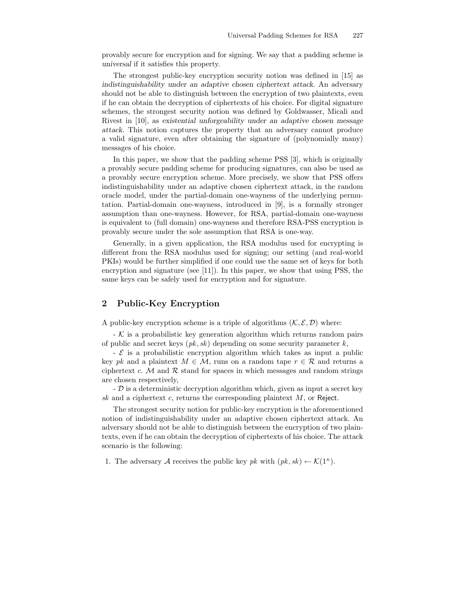provably secure for encryption and for signing. We say that a padding scheme is universal if it satisfies this property.

The strongest public-key encryption security notion was defined in [15] as indistinguishability under an adaptive chosen ciphertext attack. An adversary should not be able to distinguish between the encryption of two plaintexts, even if he can obtain the decryption of ciphertexts of his choice. For digital signature schemes, the strongest security notion was defined by Goldwasser, Micali and Rivest in [10], as existential unforgeability under an adaptive chosen message attack. This notion captures the property that an adversary cannot produce a valid signature, even after obtaining the signature of (polynomially many) messages of his choice.

In this paper, we show that the padding scheme PSS [3], which is originally a provably secure padding scheme for producing signatures, can also be used as a provably secure encryption scheme. More precisely, we show that PSS offers indistinguishability under an adaptive chosen ciphertext attack, in the random oracle model, under the partial-domain one-wayness of the underlying permutation. Partial-domain one-wayness, introduced in [9], is a formally stronger assumption than one-wayness. However, for RSA, partial-domain one-wayness is equivalent to (full domain) one-wayness and therefore RSA-PSS encryption is provably secure under the sole assumption that RSA is one-way.

Generally, in a given application, the RSA modulus used for encrypting is different from the RSA modulus used for signing; our setting (and real-world PKIs) would be further simplified if one could use the same set of keys for both encryption and signature (see [11]). In this paper, we show that using PSS, the same keys can be safely used for encryption and for signature.

# 2 Public-Key Encryption

A public-key encryption scheme is a triple of algorithms  $(\mathcal{K}, \mathcal{E}, \mathcal{D})$  where:

 $\sim$  K is a probabilistic key generation algorithm which returns random pairs of public and secret keys  $(pk, sk)$  depending on some security parameter k,

 $\mathcal E$  is a probabilistic encryption algorithm which takes as input a public key pk and a plaintext  $M \in \mathcal{M}$ , runs on a random tape  $r \in \mathcal{R}$  and returns a ciphertext  $c.$  M and  $R$  stand for spaces in which messages and random strings are chosen respectively,

 $-$  D is a deterministic decryption algorithm which, given as input a secret key sk and a ciphertext  $c$ , returns the corresponding plaintext  $M$ , or Reject.

The strongest security notion for public-key encryption is the aforementioned notion of indistinguishability under an adaptive chosen ciphertext attack. An adversary should not be able to distinguish between the encryption of two plaintexts, even if he can obtain the decryption of ciphertexts of his choice. The attack scenario is the following:

1. The adversary A receives the public key pk with  $(pk, sk) \leftarrow \mathcal{K}(1^{\kappa})$ .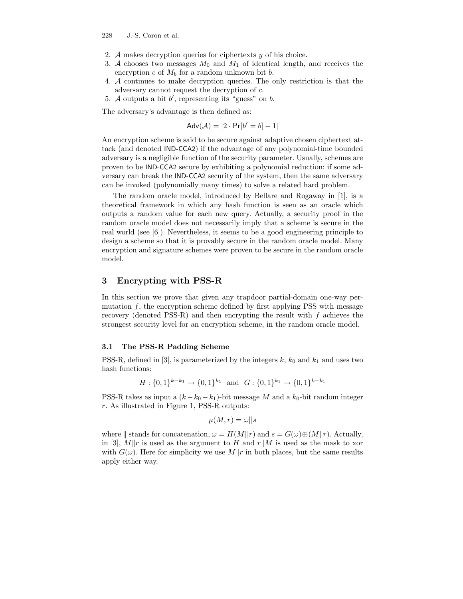- 2. A makes decryption queries for ciphertexts  $y$  of his choice.
- 3. A chooses two messages  $M_0$  and  $M_1$  of identical length, and receives the encryption c of  $M_b$  for a random unknown bit b.
- 4. A continues to make decryption queries. The only restriction is that the adversary cannot request the decryption of c.
- 5. A outputs a bit  $b'$ , representing its "guess" on  $b$ .

The adversary's advantage is then defined as:

$$
Adv(\mathcal{A}) = |2 \cdot Pr[b' = b] - 1|
$$

An encryption scheme is said to be secure against adaptive chosen ciphertext attack (and denoted IND-CCA2) if the advantage of any polynomial-time bounded adversary is a negligible function of the security parameter. Usually, schemes are proven to be IND-CCA2 secure by exhibiting a polynomial reduction: if some adversary can break the IND-CCA2 security of the system, then the same adversary can be invoked (polynomially many times) to solve a related hard problem.

The random oracle model, introduced by Bellare and Rogaway in [1], is a theoretical framework in which any hash function is seen as an oracle which outputs a random value for each new query. Actually, a security proof in the random oracle model does not necessarily imply that a scheme is secure in the real world (see [6]). Nevertheless, it seems to be a good engineering principle to design a scheme so that it is provably secure in the random oracle model. Many encryption and signature schemes were proven to be secure in the random oracle model.

### 3 Encrypting with PSS-R

In this section we prove that given any trapdoor partial-domain one-way permutation  $f$ , the encryption scheme defined by first applying PSS with message recovery (denoted PSS-R) and then encrypting the result with  $f$  achieves the strongest security level for an encryption scheme, in the random oracle model.

#### 3.1 The PSS-R Padding Scheme

PSS-R, defined in [3], is parameterized by the integers  $k, k_0$  and  $k_1$  and uses two hash functions:

$$
H: \{0,1\}^{k-k_1} \to \{0,1\}^{k_1} \text{ and } G: \{0,1\}^{k_1} \to \{0,1\}^{k-k_1}
$$

PSS-R takes as input a  $(k - k_0 - k_1)$ -bit message M and a  $k_0$ -bit random integer r. As illustrated in Figure 1, PSS-R outputs:

$$
\mu(M, r) = \omega || s
$$

where  $\parallel$  stands for concatenation,  $\omega = H(M||r)$  and  $s = G(\omega) \oplus (M||r)$ . Actually, in [3], M||r is used as the argument to H and r||M is used as the mask to xor with  $G(\omega)$ . Here for simplicity we use  $M||r$  in both places, but the same results apply either way.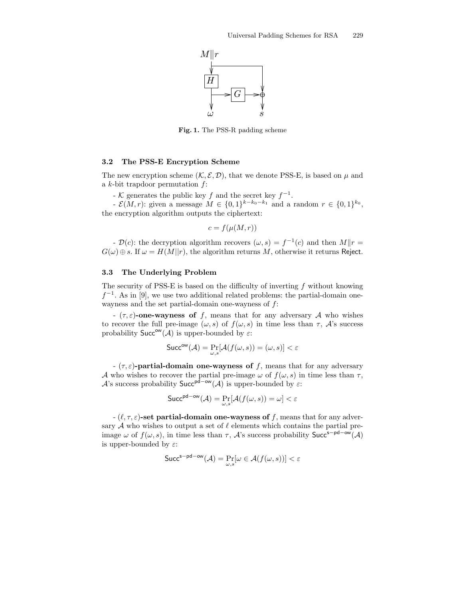

Fig. 1. The PSS-R padding scheme

#### 3.2 The PSS-E Encryption Scheme

The new encryption scheme  $(K, \mathcal{E}, \mathcal{D})$ , that we denote PSS-E, is based on  $\mu$  and a  $k$ -bit trapdoor permutation  $f$ :

- K generates the public key f and the secret key  $f^{-1}$ .

 $\mathcal{E}(M,r)$ : given a message  $M \in \{0,1\}^{k-k_0-k_1}$  and a random  $r \in \{0,1\}^{k_0}$ , the encryption algorithm outputs the ciphertext:

$$
c = f(\mu(M, r))
$$

-  $\mathcal{D}(c)$ : the decryption algorithm recovers  $(\omega, s) = f^{-1}(c)$  and then  $M||r =$  $G(\omega) \oplus s$ . If  $\omega = H(M||r)$ , the algorithm returns M, otherwise it returns Reject.

#### 3.3 The Underlying Problem

The security of PSS-E is based on the difficulty of inverting  $f$  without knowing  $f^{-1}$ . As in [9], we use two additional related problems: the partial-domain onewayness and the set partial-domain one-wayness of  $f$ :

-  $(\tau, \varepsilon)$ -one-wayness of f, means that for any adversary A who wishes to recover the full pre-image  $(\omega, s)$  of  $f(\omega, s)$  in time less than  $\tau$ ,  $\mathcal{A}$ 's success probability  $\mathsf{Succ}^{\mathsf{ow}}(\mathcal{A})$  is upper-bounded by  $\varepsilon$ :

$$
\mathsf{Succ}^{\mathsf{ow}}(\mathcal{A}) = \Pr_{\omega,s}[\mathcal{A}(f(\omega,s)) = (\omega,s)] < \varepsilon
$$

-  $(\tau, \varepsilon)$ -partial-domain one-wayness of f, means that for any adversary A who wishes to recover the partial pre-image  $\omega$  of  $f(\omega, s)$  in time less than  $\tau$ , A's success probability  $Succ^{pd-ow}(A)$  is upper-bounded by  $\varepsilon$ :

$$
\mathsf{Succ}^{\mathsf{pd}-\mathsf{ow}}(\mathcal{A}) = \Pr_{\omega,s}[\mathcal{A}(f(\omega,s)) = \omega] < \varepsilon
$$

-  $(\ell, \tau, \varepsilon)$ -set partial-domain one-wayness of f, means that for any adversary  $A$  who wishes to output a set of  $\ell$  elements which contains the partial preimage  $\omega$  of  $f(\omega, s)$ , in time less than  $\tau$ , A's success probability Succ<sup>s-pd-ow</sup>(A) is upper-bounded by  $\varepsilon$ :

$$
{\sf Succ}^{\sf s-pd-ow}(\mathcal{A}) = \Pr_{\omega, s}[\omega \in \mathcal{A}(f(\omega, s))] < \varepsilon
$$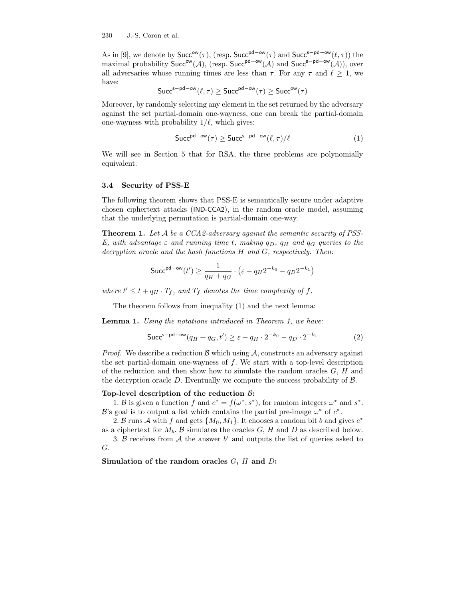As in [9], we denote by  $Succ^{\text{ow}}(\tau)$ , (resp.  $Succ^{\text{pd}-\text{ow}}(\tau)$  and  $Succ^{\text{s}-\text{pd}-\text{ow}}(\ell,\tau)$ ) the maximal probability Succ<sup>ow</sup>(A), (resp. Succ<sup>pd–ow</sup>(A) and Succ<sup>s–pd–ow</sup>(A)), over all adversaries whose running times are less than  $\tau$ . For any  $\tau$  and  $\ell \geq 1$ , we have:

$$
\mathsf{Succ}^{\mathsf{s-pd-ow}}(\ell,\tau) \geq \mathsf{Succ}^{\mathsf{pd-ow}}(\tau) \geq \mathsf{Succ}^{\mathsf{ow}}(\tau)
$$

Moreover, by randomly selecting any element in the set returned by the adversary against the set partial-domain one-wayness, one can break the partial-domain one-wayness with probability  $1/\ell$ , which gives:

$$
\mathsf{Succ}^{\mathsf{pd}-\mathsf{ow}}(\tau) \ge \mathsf{Succ}^{\mathsf{s}-\mathsf{pd}-\mathsf{ow}}(\ell,\tau)/\ell \tag{1}
$$

We will see in Section 5 that for RSA, the three problems are polynomially equivalent.

#### 3.4 Security of PSS-E

The following theorem shows that PSS-E is semantically secure under adaptive chosen ciphertext attacks (IND-CCA2), in the random oracle model, assuming that the underlying permutation is partial-domain one-way.

**Theorem 1.** Let  $A$  be a CCA2-adversary against the semantic security of PSS-E, with advantage  $\varepsilon$  and running time t, making  $q_D$ ,  $q_H$  and  $q_G$  queries to the decryption oracle and the hash functions H and G, respectively. Then:

$$
\mathsf{Succ}^{\mathsf{pd}-\mathsf{ow}}(t') \ge \frac{1}{q_H+q_G} \cdot \left(\varepsilon - q_H 2^{-k_0} - q_D 2^{-k_1}\right)
$$

where  $t' \leq t + q_H \cdot T_f$ , and  $T_f$  denotes the time complexity of f.

The theorem follows from inequality (1) and the next lemma:

**Lemma 1.** Using the notations introduced in Theorem 1, we have:

$$
\text{Succ}^{\text{s-pd-ow}}(q_H + q_G, t') \ge \varepsilon - q_H \cdot 2^{-k_0} - q_D \cdot 2^{-k_1} \tag{2}
$$

*Proof.* We describe a reduction  $\beta$  which using  $\mathcal{A}$ , constructs an adversary against the set partial-domain one-wayness of  $f$ . We start with a top-level description of the reduction and then show how to simulate the random oracles  $G, H$  and the decryption oracle D. Eventually we compute the success probability of B.

#### Top-level description of the reduction  $\beta$ :

1. B is given a function f and  $c^* = f(\omega^*, s^*)$ , for random integers  $\omega^*$  and  $s^*$ . B's goal is to output a list which contains the partial pre-image  $\omega^*$  of  $c^*$ .

2. B runs A with f and gets  $\{M_0, M_1\}$ . It chooses a random bit b and gives  $c^*$ as a ciphertext for  $M_b$ . B simulates the oracles G, H and D as described below.

3.  $\beta$  receives from  $\mathcal A$  the answer  $b'$  and outputs the list of queries asked to G.

Simulation of the random oracles  $G$ ,  $H$  and  $D$ :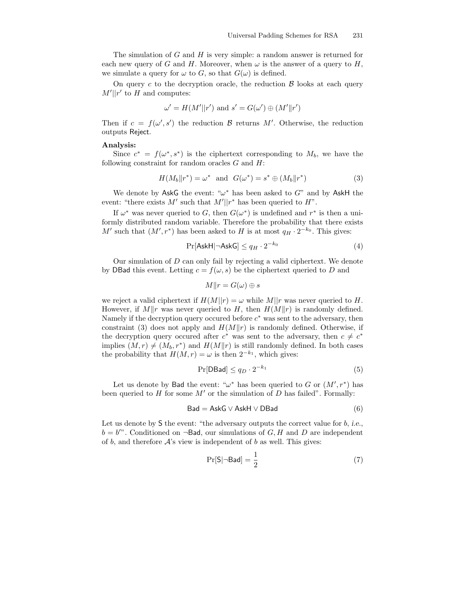The simulation of  $G$  and  $H$  is very simple: a random answer is returned for each new query of G and H. Moreover, when  $\omega$  is the answer of a query to H, we simulate a query for  $\omega$  to G, so that  $G(\omega)$  is defined.

On query c to the decryption oracle, the reduction  $\beta$  looks at each query  $M'||r'$  to H and computes:

$$
\omega' = H(M'||r') \text{ and } s' = G(\omega') \oplus (M'||r')
$$

Then if  $c = f(\omega', s')$  the reduction  $\beta$  returns  $M'$ . Otherwise, the reduction outputs Reject.

#### Analysis:

Since  $c^* = f(\omega^*, s^*)$  is the ciphertext corresponding to  $M_b$ , we have the following constraint for random oracles  $G$  and  $H$ :

$$
H(M_b||r^*) = \omega^* \quad \text{and} \quad G(\omega^*) = s^* \oplus (M_b||r^*) \tag{3}
$$

We denote by AskG the event: " $\omega^*$  has been asked to G" and by AskH the event: "there exists M' such that  $M'||r^*$  has been queried to  $H$ ".

If  $\omega^*$  was never queried to G, then  $G(\omega^*)$  is undefined and  $r^*$  is then a uniformly distributed random variable. Therefore the probability that there exists M' such that  $(M', r^*)$  has been asked to H is at most  $q_H \cdot 2^{-k_0}$ . This gives:

$$
\Pr[\mathsf{AskH} | \neg \mathsf{AskG}] \le q_H \cdot 2^{-k_0} \tag{4}
$$

Our simulation of D can only fail by rejecting a valid ciphertext. We denote by DBad this event. Letting  $c = f(\omega, s)$  be the ciphertext queried to D and

$$
M||r = G(\omega) \oplus s
$$

we reject a valid ciphertext if  $H(M||r) = \omega$  while M||r was never queried to H. However, if  $M||r$  was never queried to H, then  $H(M||r)$  is randomly defined. Namely if the decryption query occured before  $c^*$  was sent to the adversary, then constraint (3) does not apply and  $H(M||r)$  is randomly defined. Otherwise, if the decryption query occured after  $c^*$  was sent to the adversary, then  $c \neq c^*$ implies  $(M, r) \neq (M_b, r^*)$  and  $H(M||r)$  is still randomly defined. In both cases the probability that  $H(M, r) = \omega$  is then  $2^{-k_1}$ , which gives:

$$
\Pr[\text{DBad}] \le q_D \cdot 2^{-k_1} \tag{5}
$$

Let us denote by Bad the event: " $\omega^*$  has been queried to G or  $(M', r^*)$  has been queried to H for some  $M'$  or the simulation of D has failed". Formally:

$$
Bad = AskG \vee AskH \vee DBad \tag{6}
$$

Let us denote by  $S$  the event: "the adversary outputs the correct value for  $b$ , i.e.,  $b = b'$ . Conditioned on  $\neg$ **Bad**, our simulations of G, H and D are independent of b, and therefore  $A$ 's view is independent of b as well. This gives:

$$
\Pr[S|\neg \mathsf{Bad}] = \frac{1}{2} \tag{7}
$$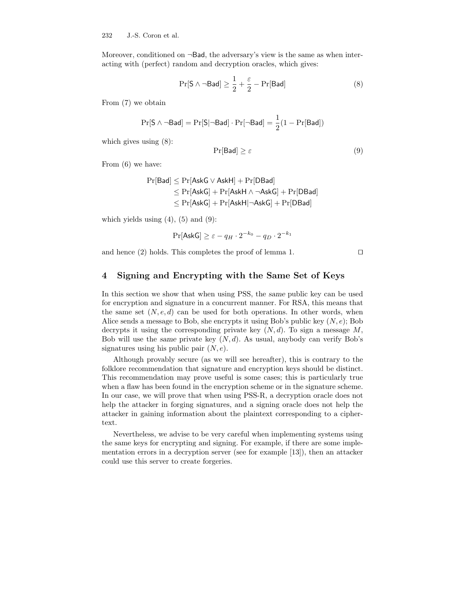Moreover, conditioned on  $\neg$ Bad, the adversary's view is the same as when interacting with (perfect) random and decryption oracles, which gives:

$$
\Pr[S \land \neg \mathsf{Bad}] \ge \frac{1}{2} + \frac{\varepsilon}{2} - \Pr[\mathsf{Bad}] \tag{8}
$$

From (7) we obtain

$$
\Pr[\mathsf{S} \wedge \neg \mathsf{Bad}] = \Pr[\mathsf{S} | \neg \mathsf{Bad}] \cdot \Pr[\neg \mathsf{Bad}] = \frac{1}{2}(1 - \Pr[\mathsf{Bad}])
$$

which gives using (8):

$$
\Pr[\mathsf{Bad}] \ge \varepsilon \tag{9}
$$

From (6) we have:

$$
\begin{aligned} \Pr[\mathsf{Bad}] &\leq \Pr[\mathsf{AskG} \vee \mathsf{AskH}] + \Pr[\mathsf{DBad}] \\ &\leq \Pr[\mathsf{AskG}] + \Pr[\mathsf{AskH} \wedge \neg \mathsf{AskG}] + \Pr[\mathsf{DBad}] \\ &\leq \Pr[\mathsf{AskG}] + \Pr[\mathsf{AskH}] \neg \mathsf{AskG}] + \Pr[\mathsf{DBad}] \end{aligned}
$$

which yields using  $(4)$ ,  $(5)$  and  $(9)$ :

$$
\Pr[\mathsf{AskG}] \ge \varepsilon - q_H \cdot 2^{-k_0} - q_D \cdot 2^{-k_1}
$$

and hence  $(2)$  holds. This completes the proof of lemma 1.  $\Box$ 

# 4 Signing and Encrypting with the Same Set of Keys

In this section we show that when using PSS, the same public key can be used for encryption and signature in a concurrent manner. For RSA, this means that the same set  $(N, e, d)$  can be used for both operations. In other words, when Alice sends a message to Bob, she encrypts it using Bob's public key  $(N, e)$ ; Bob decrypts it using the corresponding private key  $(N, d)$ . To sign a message M, Bob will use the same private key  $(N, d)$ . As usual, anybody can verify Bob's signatures using his public pair  $(N, e)$ .

Although provably secure (as we will see hereafter), this is contrary to the folklore recommendation that signature and encryption keys should be distinct. This recommendation may prove useful is some cases; this is particularly true when a flaw has been found in the encryption scheme or in the signature scheme. In our case, we will prove that when using PSS-R, a decryption oracle does not help the attacker in forging signatures, and a signing oracle does not help the attacker in gaining information about the plaintext corresponding to a ciphertext.

Nevertheless, we advise to be very careful when implementing systems using the same keys for encrypting and signing. For example, if there are some implementation errors in a decryption server (see for example [13]), then an attacker could use this server to create forgeries.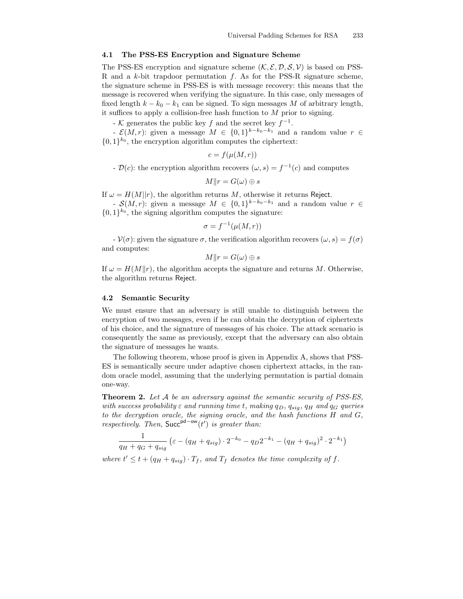### 4.1 The PSS-ES Encryption and Signature Scheme

The PSS-ES encryption and signature scheme  $(\mathcal{K}, \mathcal{E}, \mathcal{D}, \mathcal{S}, \mathcal{V})$  is based on PSS-R and a  $k$ -bit trapdoor permutation  $f$ . As for the PSS-R signature scheme, the signature scheme in PSS-ES is with message recovery: this means that the message is recovered when verifying the signature. In this case, only messages of fixed length  $k - k_0 - k_1$  can be signed. To sign messages M of arbitrary length, it suffices to apply a collision-free hash function to  $M$  prior to signing.

- K generates the public key f and the secret key  $f^{-1}$ .

-  $\mathcal{E}(M,r)$ : given a message  $M \in \{0,1\}^{k-k_0-k_1}$  and a random value  $r \in$  $\{0,1\}^{k_0}$ , the encryption algorithm computes the ciphertext:

$$
c = f(\mu(M, r))
$$

 $-\mathcal{D}(c)$ : the encryption algorithm recovers  $(\omega, s) = f^{-1}(c)$  and computes

$$
M||r = G(\omega) \oplus s
$$

If  $\omega = H(M||r)$ , the algorithm returns M, otherwise it returns Reject.

-  $\mathcal{S}(M,r)$ : given a message  $M \in \{0,1\}^{k-k_0-k_1}$  and a random value  $r \in$  $\{0,1\}^{k_0}$ , the signing algorithm computes the signature:

$$
\sigma = f^{-1}(\mu(M, r))
$$

 $-V(\sigma)$ : given the signature  $\sigma$ , the verification algorithm recovers  $(\omega, s) = f(\sigma)$ and computes:

$$
M||r = G(\omega) \oplus s
$$

If  $\omega = H(M||r)$ , the algorithm accepts the signature and returns M. Otherwise, the algorithm returns Reject.

#### 4.2 Semantic Security

We must ensure that an adversary is still unable to distinguish between the encryption of two messages, even if he can obtain the decryption of ciphertexts of his choice, and the signature of messages of his choice. The attack scenario is consequently the same as previously, except that the adversary can also obtain the signature of messages he wants.

The following theorem, whose proof is given in Appendix A, shows that PSS-ES is semantically secure under adaptive chosen ciphertext attacks, in the random oracle model, assuming that the underlying permutation is partial domain one-way.

**Theorem 2.** Let  $A$  be an adversary against the semantic security of PSS-ES. with success probability  $\varepsilon$  and running time t, making  $q_D$ ,  $q_{sia}$ ,  $q_H$  and  $q_G$  queries to the decryption oracle, the signing oracle, and the hash functions H and G, respectively. Then, Succ<sup>pd–ow</sup>(t') is greater than:

$$
\frac{1}{q_H + q_G + q_{sig}} \left( \varepsilon - (q_H + q_{sig}) \cdot 2^{-k_0} - q_D 2^{-k_1} - (q_H + q_{sig})^2 \cdot 2^{-k_1} \right)
$$

where  $t' \leq t + (q_H + q_{sig}) \cdot T_f$ , and  $T_f$  denotes the time complexity of f.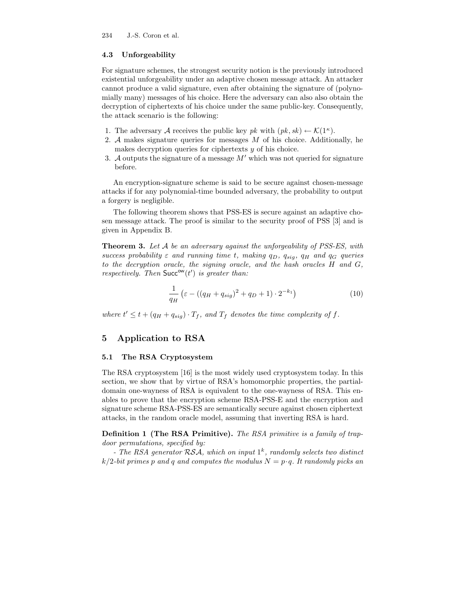### 4.3 Unforgeability

For signature schemes, the strongest security notion is the previously introduced existential unforgeability under an adaptive chosen message attack. An attacker cannot produce a valid signature, even after obtaining the signature of (polynomially many) messages of his choice. Here the adversary can also also obtain the decryption of ciphertexts of his choice under the same public-key. Consequently, the attack scenario is the following:

- 1. The adversary A receives the public key pk with  $(pk, sk) \leftarrow \mathcal{K}(1^{\kappa})$ .
- 2. A makes signature queries for messages  $M$  of his choice. Additionally, he makes decryption queries for ciphertexts y of his choice.
- 3. A outputs the signature of a message  $M'$  which was not queried for signature before.

An encryption-signature scheme is said to be secure against chosen-message attacks if for any polynomial-time bounded adversary, the probability to output a forgery is negligible.

The following theorem shows that PSS-ES is secure against an adaptive chosen message attack. The proof is similar to the security proof of PSS [3] and is given in Appendix B.

**Theorem 3.** Let A be an adversary against the unforgeability of PSS-ES, with success probability  $\varepsilon$  and running time t, making  $q_D$ ,  $q_{sia}$ ,  $q_H$  and  $q_G$  queries to the decryption oracle, the signing oracle, and the hash oracles H and G, respectively. Then  $Succ^{\mathsf{ow}}(t')$  is greater than:

$$
\frac{1}{q_H} \left( \varepsilon - \left( (q_H + q_{sig})^2 + q_D + 1 \right) \cdot 2^{-k_1} \right) \tag{10}
$$

where  $t' \leq t + (q_H + q_{sig}) \cdot T_f$ , and  $T_f$  denotes the time complexity of f.

# 5 Application to RSA

#### 5.1 The RSA Cryptosystem

The RSA cryptosystem [16] is the most widely used cryptosystem today. In this section, we show that by virtue of RSA's homomorphic properties, the partialdomain one-wayness of RSA is equivalent to the one-wayness of RSA. This enables to prove that the encryption scheme RSA-PSS-E and the encryption and signature scheme RSA-PSS-ES are semantically secure against chosen ciphertext attacks, in the random oracle model, assuming that inverting RSA is hard.

Definition 1 (The RSA Primitive). The RSA primitive is a family of trapdoor permutations, specified by:

- The RSA generator  $RSA$ , which on input  $1<sup>k</sup>$ , randomly selects two distinct  $k/2$ -bit primes p and q and computes the modulus  $N = p \cdot q$ . It randomly picks an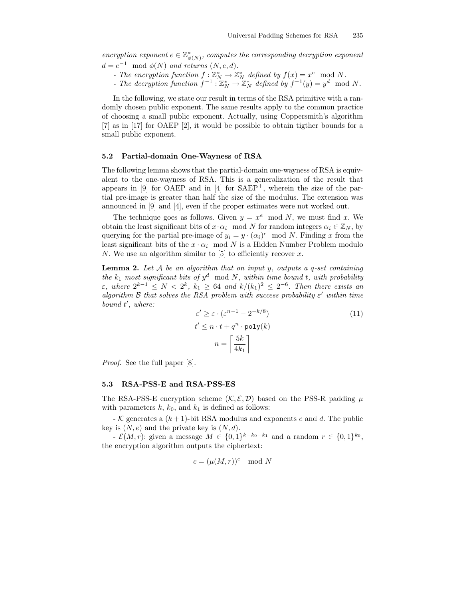encryption exponent  $e \in \mathbb{Z}_{\phi(N)}^*$ , computes the corresponding decryption exponent  $d = e^{-1} \mod \phi(N)$  and returns  $(N, e, d)$ .

- The encryption function  $f: \mathbb{Z}_N^* \to \mathbb{Z}_N^*$  defined by  $f(x) = x^e \mod N$ .
- The decryption function  $f^{-1}: \mathbb{Z}_N^* \to \mathbb{Z}_N^*$  defined by  $f^{-1}(y) = y^d \mod N$ .

In the following, we state our result in terms of the RSA primitive with a randomly chosen public exponent. The same results apply to the common practice of choosing a small public exponent. Actually, using Coppersmith's algorithm [7] as in [17] for OAEP [2], it would be possible to obtain tigther bounds for a small public exponent.

#### 5.2 Partial-domain One-Wayness of RSA

The following lemma shows that the partial-domain one-wayness of RSA is equivalent to the one-wayness of RSA. This is a generalization of the result that appears in [9] for OAEP and in [4] for  $SAEP^+$ , wherein the size of the partial pre-image is greater than half the size of the modulus. The extension was announced in [9] and [4], even if the proper estimates were not worked out.

The technique goes as follows. Given  $y = x^e \mod N$ , we must find x. We obtain the least significant bits of  $x \cdot \alpha_i \mod N$  for random integers  $\alpha_i \in \mathbb{Z}_N$ , by querying for the partial pre-image of  $y_i = y \cdot (\alpha_i)^e \mod N$ . Finding x from the least significant bits of the  $x \cdot \alpha_i \mod N$  is a Hidden Number Problem modulo N. We use an algorithm similar to [5] to efficiently recover  $x$ .

**Lemma 2.** Let  $A$  be an algorithm that on input y, outputs a q-set containing the  $k_1$  most significant bits of  $y^d \mod N$ , within time bound t, with probability  $\varepsilon$ , where  $2^{k-1} \leq N < 2^k$ ,  $k_1 \geq 64$  and  $k/(k_1)^2 \leq 2^{-6}$ . Then there exists an algorithm  $\mathcal B$  that solves the RSA problem with success probability  $\varepsilon'$  within time bound t', where:

$$
\varepsilon' \ge \varepsilon \cdot (\varepsilon^{n-1} - 2^{-k/8})
$$
  
\n
$$
t' \le n \cdot t + q^n \cdot \text{poly}(k)
$$
  
\n
$$
n = \left\lceil \frac{5k}{4k_1} \right\rceil
$$
 (11)

Proof. See the full paper [8].

#### 5.3 RSA-PSS-E and RSA-PSS-ES

The RSA-PSS-E encryption scheme  $(\mathcal{K}, \mathcal{E}, \mathcal{D})$  based on the PSS-R padding  $\mu$ with parameters  $k, k_0$ , and  $k_1$  is defined as follows:

- K generates a  $(k+1)$ -bit RSA modulus and exponents e and d. The public key is  $(N, e)$  and the private key is  $(N, d)$ .

 $\mathcal{E}(M,r)$ : given a message  $M \in \{0,1\}^{k-k_0-k_1}$  and a random  $r \in \{0,1\}^{k_0}$ , the encryption algorithm outputs the ciphertext:

$$
c = (\mu(M, r))^e \mod N
$$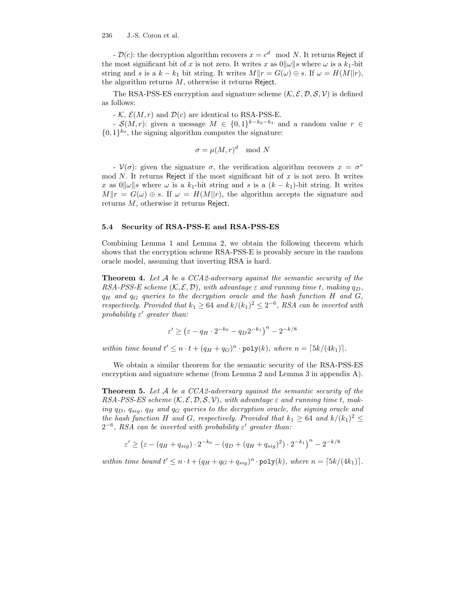-  $\mathcal{D}(c)$ : the decryption algorithm recovers  $x = c^d \mod N$ . It returns Reject if the most significant bit of x is not zero. It writes x as  $0\|\omega\|$ s where  $\omega$  is a  $k_1$ -bit string and s is a  $k - k_1$  bit string. It writes  $M||r| = G(\omega) \oplus s$ . If  $\omega = H(M||r)$ , the algorithm returns  $M$ , otherwise it returns Reject.

The RSA-PSS-ES encryption and signature scheme  $(\mathcal{K}, \mathcal{E}, \mathcal{D}, \mathcal{S}, \mathcal{V})$  is defined as follows:

 $- K$ ,  $\mathcal{E}(M, r)$  and  $\mathcal{D}(c)$  are identical to RSA-PSS-E.

- S(M, r): given a message  $M \in \{0,1\}^{k-k_0-k_1}$  and a random value  $r \in$  $\{0,1\}^{k_0}$ , the signing algorithm computes the signature:

$$
\sigma = \mu(M, r)^d \mod N
$$

-  $V(\sigma)$ : given the signature  $\sigma$ , the verification algorithm recovers  $x = \sigma^e$ mod N. It returns Reject if the most significant bit of  $x$  is not zero. It writes x as  $0\|\omega\|$ s where  $\omega$  is a  $k_1$ -bit string and s is a  $(k - k_1)$ -bit string. It writes  $M||r = G(\omega) \oplus s$ . If  $\omega = H(M||r)$ , the algorithm accepts the signature and returns M, otherwise it returns Reject.

#### 5.4 Security of RSA-PSS-E and RSA-PSS-ES

Combining Lemma 1 and Lemma 2, we obtain the following theorem which shows that the encryption scheme RSA-PSS-E is provably secure in the random oracle model, assuming that inverting RSA is hard.

**Theorem 4.** Let  $A$  be a CCA2-adversary against the semantic security of the RSA-PSS-E scheme  $(K, \mathcal{E}, \mathcal{D})$ , with advantage  $\varepsilon$  and running time t, making  $q_D$ ,  $q_H$  and  $q_G$  queries to the decryption oracle and the hash function H and G, respectively. Provided that  $k_1 \geq 64$  and  $k/(k_1)^2 \leq 2^{-6}$ , RSA can be inverted with probability  $\varepsilon'$  greater than:

$$
\varepsilon' \ge \left(\varepsilon - q_H \cdot 2^{-k_0} - q_D 2^{-k_1}\right)^n - 2^{-k/8}
$$

within time bound  $t' \leq n \cdot t + (q_H + q_G)^n \cdot \text{poly}(k)$ , where  $n = \lceil 5k/(4k_1) \rceil$ .

We obtain a similar theorem for the semantic security of the RSA-PSS-ES encryption and signature scheme (from Lemma 2 and Lemma 3 in appendix A).

**Theorem 5.** Let A be a CCA2-adversary against the semantic security of the RSA-PSS-ES scheme  $(K, \mathcal{E}, \mathcal{D}, \mathcal{S}, \mathcal{V})$ , with advantage  $\varepsilon$  and running time t, making  $q_D$ ,  $q_{sia}$ ,  $q_H$  and  $q_G$  queries to the decryption oracle, the signing oracle and the hash function H and G, respectively. Provided that  $k_1 \geq 64$  and  $k/(k_1)^2 \leq$  $2^{-6}$ , RSA can be inverted with probability  $\varepsilon'$  greater than:

$$
\varepsilon' \ge \left(\varepsilon - (q_H + q_{sig}) \cdot 2^{-k_0} - (q_D + (q_H + q_{sig})^2) \cdot 2^{-k_1}\right)^n - 2^{-k/8}
$$

within time bound  $t' \leq n \cdot t + (q_H + q_G + q_{sig})^n \cdot \text{poly}(k)$ , where  $n = \lceil 5k/(4k_1) \rceil$ .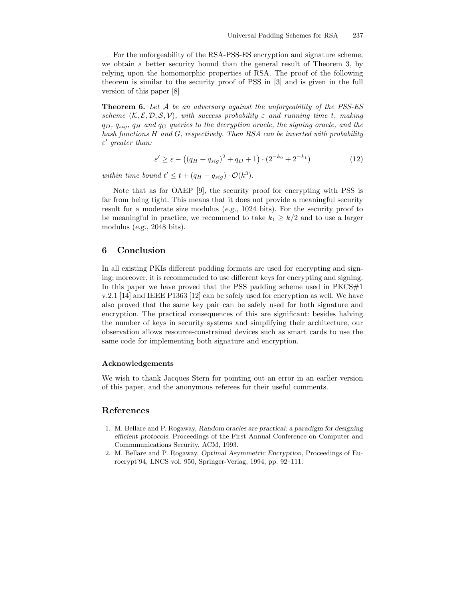For the unforgeability of the RSA-PSS-ES encryption and signature scheme, we obtain a better security bound than the general result of Theorem 3, by relying upon the homomorphic properties of RSA. The proof of the following theorem is similar to the security proof of PSS in [3] and is given in the full version of this paper [8]

**Theorem 6.** Let  $A$  be an adversary against the unforgeability of the PSS-ES scheme  $(K, \mathcal{E}, \mathcal{D}, \mathcal{S}, \mathcal{V})$ , with success probability  $\varepsilon$  and running time t, making  $q_D, q_{sig}, q_H$  and  $q_G$  queries to the decryption oracle, the signing oracle, and the hash functions H and G, respectively. Then RSA can be inverted with probability  $\varepsilon'$  greater than:

$$
\varepsilon' \ge \varepsilon - ((q_H + q_{sig})^2 + q_D + 1) \cdot (2^{-k_0} + 2^{-k_1}) \tag{12}
$$

within time bound  $t' \leq t + (q_H + q_{sig}) \cdot \mathcal{O}(k^3)$ .

Note that as for OAEP [9], the security proof for encrypting with PSS is far from being tight. This means that it does not provide a meaningful security result for a moderate size modulus (e.g., 1024 bits). For the security proof to be meaningful in practice, we recommend to take  $k_1 \geq k/2$  and to use a larger modulus (e.g., 2048 bits).

### 6 Conclusion

In all existing PKIs different padding formats are used for encrypting and signing; moreover, it is recommended to use different keys for encrypting and signing. In this paper we have proved that the PSS padding scheme used in  $PKCS#1$ v.2.1 [14] and IEEE P1363 [12] can be safely used for encryption as well. We have also proved that the same key pair can be safely used for both signature and encryption. The practical consequences of this are significant: besides halving the number of keys in security systems and simplifying their architecture, our observation allows resource-constrained devices such as smart cards to use the same code for implementing both signature and encryption.

#### Acknowledgements

We wish to thank Jacques Stern for pointing out an error in an earlier version of this paper, and the anonymous referees for their useful comments.

### References

- 1. M. Bellare and P. Rogaway, Random oracles are practical: a paradigm for designing efficient protocols. Proceedings of the First Annual Conference on Computer and Commmunications Security, ACM, 1993.
- 2. M. Bellare and P. Rogaway, Optimal Asymmetric Encryption, Proceedings of Eurocrypt'94, LNCS vol. 950, Springer-Verlag, 1994, pp. 92–111.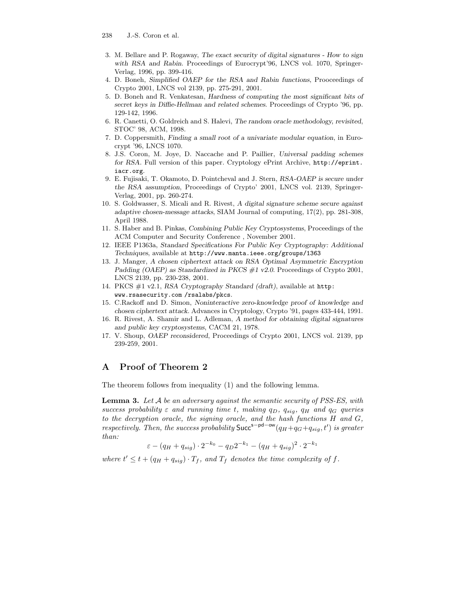- 3. M. Bellare and P. Rogaway, The exact security of digital signatures How to sign with RSA and Rabin. Proceedings of Eurocrypt'96, LNCS vol. 1070, Springer-Verlag, 1996, pp. 399-416.
- 4. D. Boneh, Simplified OAEP for the RSA and Rabin functions, Prooceedings of Crypto 2001, LNCS vol 2139, pp. 275-291, 2001.
- 5. D. Boneh and R. Venkatesan, Hardness of computing the most significant bits of secret keys in Diffie-Hellman and related schemes. Proceedings of Crypto '96, pp. 129-142, 1996.
- 6. R. Canetti, O. Goldreich and S. Halevi, The random oracle methodology, revisited, STOC' 98, ACM, 1998.
- 7. D. Coppersmith, Finding a small root of a univariate modular equation, in Eurocrypt '96, LNCS 1070.
- 8. J.S. Coron, M. Joye, D. Naccache and P. Paillier, Universal padding schemes for RSA. Full version of this paper. Cryptology ePrint Archive, http://eprint. iacr.org.
- 9. E. Fujisaki, T. Okamoto, D. Pointcheval and J. Stern, RSA-OAEP is secure under the RSA assumption, Proceedings of Crypto' 2001, LNCS vol. 2139, Springer-Verlag, 2001, pp. 260-274.
- 10. S. Goldwasser, S. Micali and R. Rivest, A digital signature scheme secure against adaptive chosen-message attacks, SIAM Journal of computing, 17(2), pp. 281-308, April 1988.
- 11. S. Haber and B. Pinkas, Combining Public Key Cryptosystems, Proceedings of the ACM Computer and Security Conference , November 2001.
- 12. IEEE P1363a, Standard Specifications For Public Key Cryptography: Additional Techniques, available at http://www.manta.ieee.org/groups/1363
- 13. J. Manger, A chosen ciphertext attack on RSA Optimal Asymmetric Encryption Padding (OAEP) as Standardized in PKCS #1 v2.0. Proceedings of Crypto 2001, LNCS 2139, pp. 230-238, 2001.
- 14. PKCS #1 v2.1, RSA Cryptography Standard (draft), available at http: www.rsasecurity.com /rsalabs/pkcs.
- 15. C.Rackoff and D. Simon, Noninteractive zero-knowledge proof of knowledge and chosen ciphertext attack. Advances in Cryptology, Crypto '91, pages 433-444, 1991.
- 16. R. Rivest, A. Shamir and L. Adleman, A method for obtaining digital signatures and public key cryptosystems, CACM 21, 1978.
- 17. V. Shoup, OAEP reconsidered, Proceedings of Crypto 2001, LNCS vol. 2139, pp 239-259, 2001.

# A Proof of Theorem 2

The theorem follows from inequality (1) and the following lemma.

**Lemma 3.** Let  $A$  be an adversary against the semantic security of PSS-ES, with success probability  $\varepsilon$  and running time t, making  $q_D$ ,  $q_{sig}$ ,  $q_H$  and  $q_G$  queries to the decryption oracle, the signing oracle, and the hash functions H and G, respectively. Then, the success probability  $Succ^{s-pd-ow}(q_H+q_G+q_{sig},t')$  is greater than:

$$
\varepsilon - (q_H + q_{sig}) \cdot 2^{-k_0} - q_D 2^{-k_1} - (q_H + q_{sig})^2 \cdot 2^{-k_1}
$$

where  $t' \leq t + (q_H + q_{sig}) \cdot T_f$ , and  $T_f$  denotes the time complexity of f.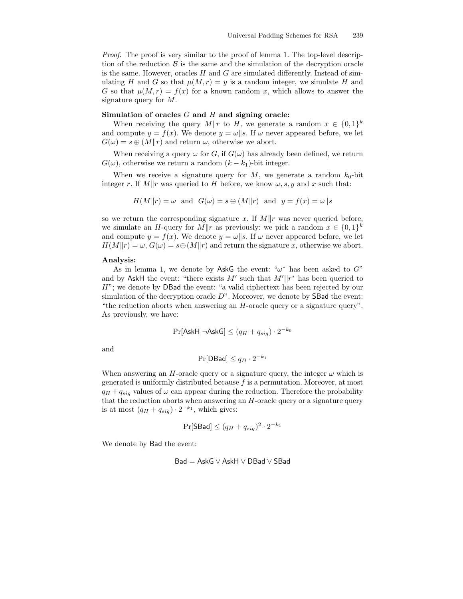Proof. The proof is very similar to the proof of lemma 1. The top-level description of the reduction  $\beta$  is the same and the simulation of the decryption oracle is the same. However, oracles  $H$  and  $G$  are simulated differently. Instead of simulating H and G so that  $\mu(M, r) = y$  is a random integer, we simulate H and G so that  $\mu(M,r) = f(x)$  for a known random x, which allows to answer the signature query for M.

### Simulation of oracles  $G$  and  $H$  and signing oracle:

When receiving the query  $M||r$  to H, we generate a random  $x \in \{0,1\}^k$ and compute  $y = f(x)$ . We denote  $y = \omega || s$ . If  $\omega$  never appeared before, we let  $G(\omega) = s \oplus (M||r)$  and return  $\omega$ , otherwise we abort.

When receiving a query  $\omega$  for G, if  $G(\omega)$  has already been defined, we return  $G(\omega)$ , otherwise we return a random  $(k - k_1)$ -bit integer.

When we receive a signature query for  $M$ , we generate a random  $k_0$ -bit integer r. If  $M||r$  was queried to H before, we know  $\omega$ , s, y and x such that:

$$
H(M||r) = \omega \text{ and } G(\omega) = s \oplus (M||r) \text{ and } y = f(x) = \omega||s
$$

so we return the corresponding signature x. If  $M||r$  was never queried before, we simulate an H-query for  $M||r$  as previously: we pick a random  $x \in \{0,1\}^k$ and compute  $y = f(x)$ . We denote  $y = \omega || s$ . If  $\omega$  never appeared before, we let  $H(M||r) = \omega$ ,  $G(\omega) = s \oplus (M||r)$  and return the signature x, otherwise we abort.

### Analysis:

As in lemma 1, we denote by AskG the event: " $\omega^*$  has been asked to  $G$ " and by AskH the event: "there exists M' such that  $M'||r^*$  has been queried to H"; we denote by DBad the event: "a valid ciphertext has been rejected by our simulation of the decryption oracle  $D^{\prime\prime}$ . Moreover, we denote by **SBad** the event: "the reduction aborts when answering an H-oracle query or a signature query". As previously, we have:

$$
\Pr[\mathsf{AskH} | \neg \mathsf{AskG}] \leq (q_H + q_{sig}) \cdot 2^{-k_0}
$$

and

$$
\Pr[\mathsf{DBad}] \le q_D \cdot 2^{-k_1}
$$

When answering an H-oracle query or a signature query, the integer  $\omega$  which is generated is uniformly distributed because  $f$  is a permutation. Moreover, at most  $q_H + q_{sig}$  values of  $\omega$  can appear during the reduction. Therefore the probability that the reduction aborts when answering an  $H$ -oracle query or a signature query is at most  $(q_H + q_{sig}) \cdot 2^{-k_1}$ , which gives:

$$
\Pr[\mathsf{SBad}] \leq (q_H + q_{sig})^2 \cdot 2^{-k_1}
$$

We denote by Bad the event:

$$
\mathsf{Bad} = \mathsf{AskG} \vee \mathsf{AskH} \vee \mathsf{DBad} \vee \mathsf{SBad}
$$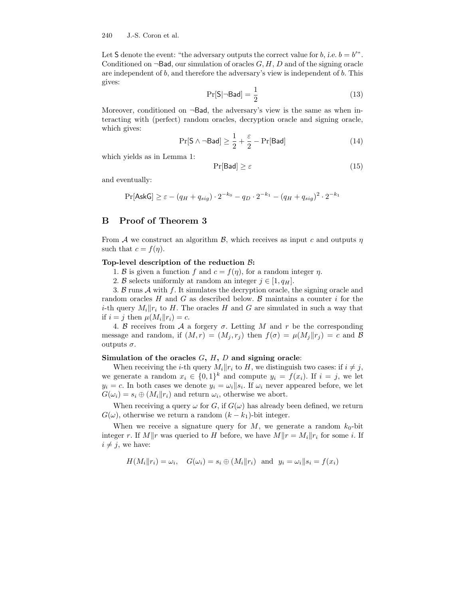Let S denote the event: "the adversary outputs the correct value for  $b$ , i.e.  $b = b$ ". Conditioned on  $\neg$ Bad, our simulation of oracles  $G, H, D$  and of the signing oracle are independent of  $b$ , and therefore the adversary's view is independent of  $b$ . This gives:

$$
\Pr[S|\neg \mathsf{Bad}] = \frac{1}{2} \tag{13}
$$

Moreover, conditioned on  $\neg$ Bad, the adversary's view is the same as when interacting with (perfect) random oracles, decryption oracle and signing oracle, which gives:

$$
\Pr[S \land \neg \mathsf{Bad}] \ge \frac{1}{2} + \frac{\varepsilon}{2} - \Pr[\mathsf{Bad}] \tag{14}
$$

which yields as in Lemma 1:

$$
\Pr[\mathsf{Bad}] \ge \varepsilon \tag{15}
$$

and eventually:

$$
\Pr[\mathsf{AskG}] \ge \varepsilon - (q_H + q_{sig}) \cdot 2^{-k_0} - q_D \cdot 2^{-k_1} - (q_H + q_{sig})^2 \cdot 2^{-k_1}
$$

### B Proof of Theorem 3

From A we construct an algorithm B, which receives as input c and outputs  $\eta$ such that  $c = f(\eta)$ .

#### Top-level description of the reduction  $\beta$ :

- 1. B is given a function f and  $c = f(\eta)$ , for a random integer  $\eta$ .
- 2. B selects uniformly at random an integer  $j \in [1, q_H]$ .

3.  $\beta$  runs  $\mathcal A$  with  $f$ . It simulates the decryption oracle, the signing oracle and random oracles H and G as described below. B maintains a counter i for the *i*-th query  $M_i || r_i$  to H. The oracles H and G are simulated in such a way that if  $i = j$  then  $\mu(M_i||r_i) = c$ .

4. B receives from A a forgery  $\sigma$ . Letting M and r be the corresponding message and random, if  $(M, r) = (M_i, r_j)$  then  $f(\sigma) = \mu(M_i || r_j) = c$  and  $\beta$ outputs  $\sigma$ .

#### Simulation of the oracles  $G, H, D$  and signing oracle:

When receiving the *i*-th query  $M_i || r_i$  to *H*, we distinguish two cases: if  $i \neq j$ , we generate a random  $x_i \in \{0,1\}^k$  and compute  $y_i = f(x_i)$ . If  $i = j$ , we let  $y_i = c$ . In both cases we denote  $y_i = \omega_i || s_i$ . If  $\omega_i$  never appeared before, we let  $G(\omega_i) = s_i \oplus (M_i || r_i)$  and return  $\omega_i$ , otherwise we abort.

When receiving a query  $\omega$  for G, if  $G(\omega)$  has already been defined, we return  $G(\omega)$ , otherwise we return a random  $(k - k_1)$ -bit integer.

When we receive a signature query for  $M$ , we generate a random  $k_0$ -bit integer r. If  $M||r$  was queried to H before, we have  $M||r = M_i||r_i$  for some i. If  $i \neq j$ , we have:

$$
H(M_i||r_i) = \omega_i, \quad G(\omega_i) = s_i \oplus (M_i||r_i) \text{ and } y_i = \omega_i||s_i = f(x_i)
$$